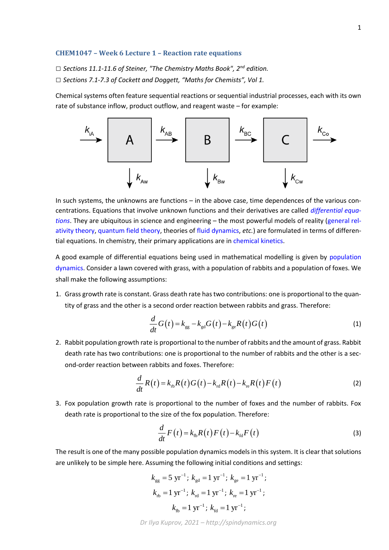## **CHEM1047 – Week 6 Lecture 1 – Reaction rate equations**

*□ Sections 11.1-11.6 of Steiner, "The Chemistry Maths Book", 2nd edition.*

*□ Sections 7.1-7.3 of Cockett and Doggett, "Maths for Chemists", Vol 1.*

Chemical systems often feature sequential reactions or sequential industrial processes, each with its own rate of substance inflow, product outflow, and reagent waste – for example:



In such systems, the unknowns are functions – in the above case, time dependences of the various concentrations. Equations that involve unknown functions and their derivatives are called *[differential equa](https://en.wikipedia.org/wiki/Differential_equation)[tions](https://en.wikipedia.org/wiki/Differential_equation)*. They are ubiquitous in science and engineering – the most powerful models of reality [\(general rel](https://en.wikipedia.org/wiki/General_relativity)[ativity theory,](https://en.wikipedia.org/wiki/General_relativity) [quantum field theory,](https://en.wikipedia.org/wiki/Quantum_field_theory) theories of [fluid dynamics,](https://en.wikipedia.org/wiki/Fluid_dynamics) *etc.*) are formulated in terms of differential equations. In chemistry, their primary applications are in [chemical kinetics.](https://en.wikipedia.org/wiki/Chemical_kinetics)

A good example of differential equations being used in mathematical modelling is given by [population](https://en.wikipedia.org/wiki/Population_dynamics)  [dynamics.](https://en.wikipedia.org/wiki/Population_dynamics) Consider a lawn covered with grass, with a population of rabbits and a population of foxes. We shall make the following assumptions:

1. Grass growth rate is constant. Grass death rate has two contributions: one is proportional to the quantity of grass and the other is a second order reaction between rabbits and grass. Therefore:

$$
\frac{d}{dt}G(t) = k_{\rm gg} - k_{\rm gd}G(t) - k_{\rm ge}R(t)G(t)
$$
\n(1)

2. Rabbit population growth rate is proportional to the number of rabbits and the amount of grass. Rabbit death rate has two contributions: one is proportional to the number of rabbits and the other is a second-order reaction between rabbits and foxes. Therefore:

$$
\frac{d}{dt}R(t) = k_{\text{rb}}R(t)G(t) - k_{\text{rd}}R(t) - k_{\text{re}}R(t)F(t)
$$
\n(2)

3. Fox population growth rate is proportional to the number of foxes and the number of rabbits. Fox death rate is proportional to the size of the fox population. Therefore:

$$
\frac{d}{dt}F(t) = k_{\text{th}}R(t)F(t) - k_{\text{fd}}F(t)
$$
\n(3)

The result is one of the many possible population dynamics models in this system. It is clear that solutions are unlikely to be simple here. Assuming the following initial conditions and settings:

$$
k_{gg} = 5 \text{ yr}^{-1}; k_{gd} = 1 \text{ yr}^{-1}; k_{ge} = 1 \text{ yr}^{-1};
$$
  
\n $k_{rb} = 1 \text{ yr}^{-1}; k_{rd} = 1 \text{ yr}^{-1}; k_{re} = 1 \text{ yr}^{-1};$   
\n $k_{fb} = 1 \text{ yr}^{-1}; k_{fd} = 1 \text{ yr}^{-1};$ 

*Dr Ilya Kuprov, 2021 – http://spindynamics.org*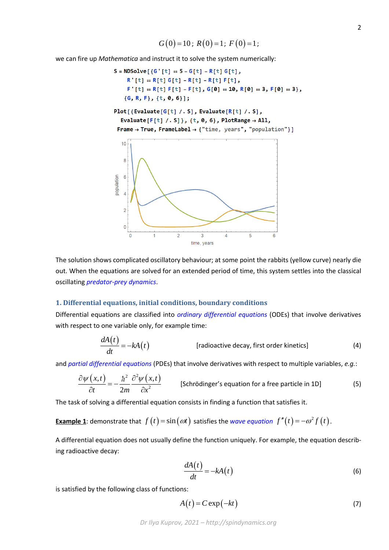we can fire up *Mathematica* and instruct it to solve the system numerically:



The solution shows complicated oscillatory behaviour; at some point the rabbits (yellow curve) nearly die out. When the equations are solved for an extended period of time, this system settles into the classical oscillating *[predator-prey dynamics](https://en.wikipedia.org/wiki/Lotka%E2%80%93Volterra_equations)*.

### **1. Differential equations, initial conditions, boundary conditions**

Differential equations are classified into *[ordinary differential equations](https://en.wikipedia.org/wiki/Ordinary_differential_equation)* (ODEs) that involve derivatives with respect to one variable only, for example time:

$$
\frac{dA(t)}{dt} = -kA(t) \qquad \qquad \text{[radioactive decay, first order kinetics]} \tag{4}
$$

and *[partial differential equations](https://en.wikipedia.org/wiki/Partial_differential_equation)* (PDEs) that involve derivatives with respect to multiple variables, *e.g.*:

$$
\frac{\partial \psi(x,t)}{\partial t} = -\frac{\hbar^2}{2m} \frac{\partial^2 \psi(x,t)}{\partial x^2}
$$
 [Schrödinger's equation for a free particle in 1D] (5)

The task of solving a differential equation consists in finding a function that satisfies it.

**Example 1**: demonstrate that 
$$
f(t) = \sin(\omega t)
$$
 satisfies the *wave equation*  $f''(t) = -\omega^2 f(t)$ .

A differential equation does not usually define the function uniquely. For example, the equation describing radioactive decay:

$$
\frac{dA(t)}{dt} = -kA(t) \tag{6}
$$

is satisfied by the following class of functions:

$$
A(t) = C \exp(-kt) \tag{7}
$$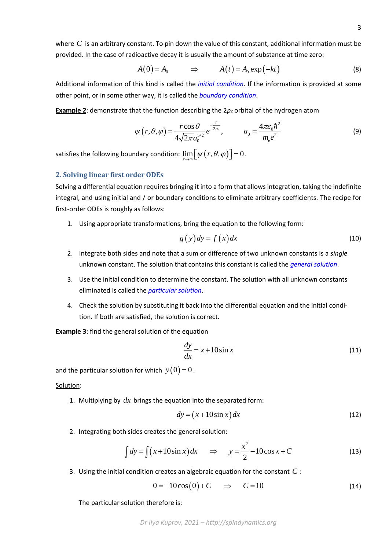where  $C$  is an arbitrary constant. To pin down the value of this constant, additional information must be provided. In the case of radioactive decay it is usually the amount of substance at time zero:

$$
A(0) = A_0 \qquad \Rightarrow \qquad A(t) = A_0 \exp(-kt) \tag{8}
$$

Additional information of this kind is called the *[initial condition](https://en.wikipedia.org/wiki/Initial_condition)*. If the information is provided at some other point, or in some other way, it is called the *[boundary condition](https://en.wikipedia.org/wiki/Boundary_value_problem)*.

**Example 2**: demonstrate that the function describing the  $2p<sub>Z</sub>$  orbital of the hydrogen atom

$$
\psi(r,\theta,\varphi) = \frac{r\cos\theta}{4\sqrt{2\pi}a_0^{5/2}}e^{-\frac{r}{2a_0}}, \qquad a_0 = \frac{4\pi\varepsilon_0\hbar^2}{m_e e^2}
$$
(9)

satisfies the following boundary condition:  $\lim_{r\to\infty}\Bigl[ \psi\bigl(r,\theta,\varphi\bigr)\Bigr]=0$  .

# **2. Solving linear first order ODEs**

Solving a differential equation requires bringing it into a form that allows integration, taking the indefinite integral, and using initial and / or boundary conditions to eliminate arbitrary coefficients. The recipe for first-order ODEs is roughly as follows:

1. Using appropriate transformations, bring the equation to the following form:

$$
g(y)dy = f(x)dx
$$
 (10)

- 2. Integrate both sides and note that a sum or difference of two unknown constants is a *single* unknown constant. The solution that contains this constant is called the *[general solution](https://en.wikipedia.org/wiki/Ordinary_differential_equation#Solutions)*.
- 3. Use the initial condition to determine the constant. The solution with all unknown constants eliminated is called the *[particular solution](https://en.wikipedia.org/wiki/Ordinary_differential_equation#Solutions)*.
- 4. Check the solution by substituting it back into the differential equation and the initial condition. If both are satisfied, the solution is correct.

**Example 3**: find the general solution of the equation

$$
\frac{dy}{dx} = x + 10\sin x \tag{11}
$$

and the particular solution for which  $y(0)$  =  $0$  .

#### Solution:

1. Multiplying by  $dx$  brings the equation into the separated form:

$$
dy = (x + 10\sin x) dx
$$
 (12)

2. Integrating both sides creates the general solution:

$$
\int dy = \int (x + 10\sin x) dx \quad \Rightarrow \quad y = \frac{x^2}{2} - 10\cos x + C \tag{13}
$$

3. Using the initial condition creates an algebraic equation for the constant *C* :

$$
0 = -10\cos(0) + C \quad \Rightarrow \quad C = 10 \tag{14}
$$

The particular solution therefore is: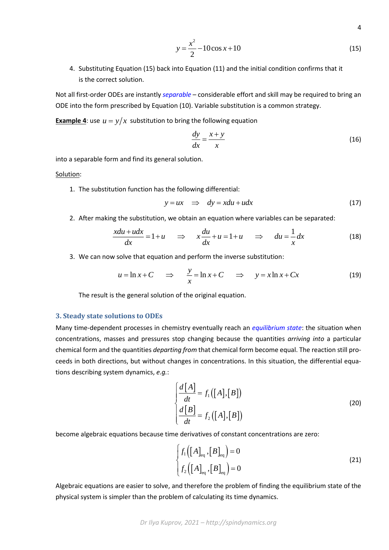$$
y = \frac{x^2}{2} - 10\cos x + 10\tag{15}
$$

4

4. Substituting Equation (15) back into Equation (11) and the initial condition confirms that it is the correct solution.

Not all first-order ODEs are instantly *[separable](https://en.wikipedia.org/wiki/Examples_of_differential_equations)* – considerable effort and skill may be required to bring an ODE into the form prescribed by Equation (10). Variable substitution is a common strategy.

**Example 4**: use  $u = y/x$  substitution to bring the following equation

$$
\frac{dy}{dx} = \frac{x+y}{x} \tag{16}
$$

into a separable form and find its general solution.

Solution:

1. The substitution function has the following differential:

$$
y = ux \Rightarrow dy = xdu + udx
$$
 (17)

2. After making the substitution, we obtain an equation where variables can be separated:

g the substitution, we obtain an equation where variables can be separated:  
\n
$$
\frac{xdu+udx}{dx} = 1+u \implies x\frac{du}{dx} + u = 1+u \implies du = \frac{1}{x}dx
$$
\n(18)

3. We can now solve that equation and perform the inverse substitution:

$$
u = \ln x + C \quad \Rightarrow \quad \frac{y}{x} = \ln x + C \quad \Rightarrow \quad y = x \ln x + Cx \tag{19}
$$

The result is the general solution of the original equation.

### **3. Steady state solutions to ODEs**

Many time-dependent processes in chemistry eventually reach an *[equilibrium state](https://en.wikipedia.org/wiki/Chemical_equilibrium)*: the situation when concentrations, masses and pressures stop changing because the quantities *arriving into* a particular chemical form and the quantities *departing from* that chemical form become equal. The reaction still proceeds in both directions, but without changes in concentrations. In this situation, the differential equations describing system dynamics, *e.g.*:

$$
\begin{cases}\n\frac{d[A]}{dt} = f_1([A],[B]) \\
\frac{d[B]}{dt} = f_2([A],[B])\n\end{cases}
$$
\n(20)

become algebraic equations because time derivatives of constant concentrations are zero:

$$
\begin{cases}\nf_1([A]_{\text{eq}}, [B]_{\text{eq}}) = 0 \\
f_2([A]_{\text{eq}}, [B]_{\text{eq}}) = 0\n\end{cases}
$$
\n(21)

Algebraic equations are easier to solve, and therefore the problem of finding the equilibrium state of the physical system is simpler than the problem of calculating its time dynamics.

*Dr Ilya Kuprov, 2021 – http://spindynamics.org*